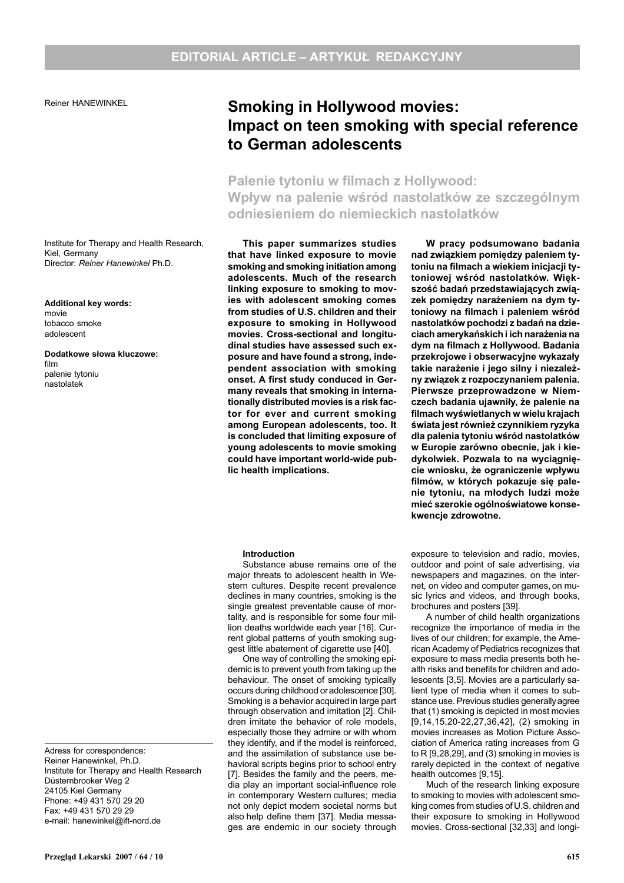Reiner HANEWINKEL

Institute for Therapy and Health Research, Kiel, Germany Director: Reiner Hanewinkel Ph.D.

Additional key words: movie tobacco smoke adolescent

Dodatkowe słowa kluczowe: film palenie tytoniu nastolatek

Adress for corespondence: Reiner Hanewinkel, Ph.D. Institute for Therapy and Health Research Düsternbrooker Weg 2 24105 Kiel Germany Phone: +49 431 570 29 20 Fax: +49 431 570 29 29 e-mail: hanewinkel@ift-nord.de

# Smoking in Hollywood movies: Impact on teen smoking with special reference to German adolescents

# Palenie tytoniu w filmach z Hollywood: Wpływ na palenie wśród nastolatków ze szczególnym odniesieniem do niemieckich nastolatków

This paper summarizes studies that have linked exposure to movie smoking and smoking initiation among adolescents. Much of the research linking exposure to smoking to movies with adolescent smoking comes from studies of U.S. children and their exposure to smoking in Hollywood movies. Cross-sectional and longitudinal studies have assessed such exposure and have found a strong, independent association with smoking onset. A first study conduced in Germany reveals that smoking in internationally distributed movies is a risk factor for ever and current smoking among European adolescents, too. It is concluded that limiting exposure of young adolescents to movie smoking could have important world-wide public health implications.

### Introduction

Substance abuse remains one of the major threats to adolescent health in Western cultures. Despite recent prevalence declines in many countries, smoking is the single greatest preventable cause of mortality, and is responsible for some four million deaths worldwide each year [16]. Current global patterns of youth smoking suggest little abatement of cigarette use [40].

One way of controlling the smoking epidemic is to prevent youth from taking up the behaviour. The onset of smoking typically occurs during childhood oradolescence [30]. Smoking is a behavior acquired in large part through observation and imitation [2]. Children imitate the behavior of role models, especially those they admire or with whom they identify, and if the model is reinforced, and the assimilation of substance use behavioral scripts begins prior to school entry [7]. Besides the family and the peers, media play an important social-influence role in contemporary Western cultures; media not only depict modern societal norms but also help define them [37]. Media messages are endemic in our society through

W pracy podsumowano badania nad związkiem pomiędzy paleniem tytoniu na filmach a wiekiem inicjacji tytoniowej wśród nastolatków. Większość badań przedstawiających związek pomiędzy narażeniem na dym tytoniowy na filmach i paleniem wśród nastolatków pochodzi z badañ na dzieciach amerykańskich i ich narażenia na dym na filmach z Hollywood. Badania przekrojowe i obserwacyjne wykazały takie narażenie i jego silny i niezależny związek z rozpoczynaniem palenia. Pierwsze przeprowadzone w Niemczech badania ujawniły, że palenie na filmach wyświetlanych w wielu krajach świata jest również czynnikiem ryzyka dla palenia tytoniu wśród nastolatków w Europie zarówno obecnie, jak i kiedykolwiek. Pozwala to na wyciagniecie wniosku, że ograniczenie wpływu filmów, w których pokazuje się palenie tytoniu, na młodych ludzi może mieć szerokie ogólnoświatowe konsekwencje zdrowotne.

exposure to television and radio, movies, outdoor and point of sale advertising, via newspapers and magazines, on the internet, on video and computer games, on music lyrics and videos, and through books, brochures and posters [39].

A number of child health organizations recognize the importance of media in the lives of our children; for example, the American Academy of Pediatrics recognizes that exposure to mass media presents both health risks and benefits for children and adolescents [3,5]. Movies are a particularly salient type of media when it comes to substance use. Previous studies generallyagree that (1) smoking is depicted in most movies [9,14,15,20-22,27,36,42], (2) smoking in movies increases as Motion Picture Association of America rating increases from G to R [9,28,29], and (3) smoking in movies is rarely depicted in the context of negative health outcomes [9,15].

Much of the research linking exposure to smoking to movies with adolescent smoking comes from studies of U.S. children and their exposure to smoking in Hollywood movies. Cross-sectional [32,33] and longi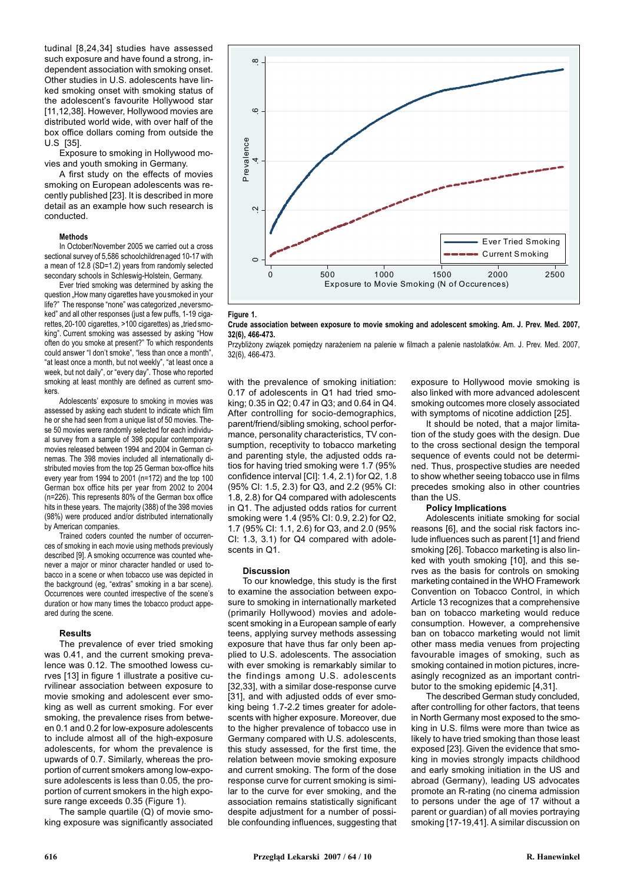tudinal [8,24,34] studies have assessed such exposure and have found a strong, independent association with smoking onset. Other studies in U.S. adolescents have linked smoking onset with smoking status of the adolescent's favourite Hollywood star [11,12,38]. However, Hollywood movies are distributed world wide, with over half of the box office dollars coming from outside the U.S [35].

Exposure to smoking in Hollywood movies and youth smoking in Germany.

A first study on the effects of movies smoking on European adolescents was recently published [23]. It is described in more detail as an example how such research is conducted.

#### Methods

In October/November 2005 we carried out a cross sectional survey of 5,586 schoolchildrenaged 10-17 with a mean of 12.8 (SD=1.2) years from randomly selected secondary schools in Schleswig-Holstein, Germany.

Ever tried smoking was determined by asking the question "How many cigarettes have you smoked in your life?" The response "none" was categorized "neversmoked" and all other responses (just a few puffs, 1-19 cigarettes, 20-100 cigarettes, >100 cigarettes) as "tried smoking". Current smoking was assessed by asking "How often do you smoke at present?" To which respondents could answer "I don't smoke", "less than once a month". "at least once a month, but not weekly", "at least once a week, but not daily", or "every day". Those who reported smoking at least monthly are defined as current smokers.

Adolescents' exposure to smoking in movies was assessed by asking each student to indicate which film he or she had seen from a unique list of 50 movies. These 50 movies were randomly selected for each individual survey from a sample of 398 popular contemporary movies released between 1994 and 2004 in German cinemas. The 398 movies included all internationally distributed movies from the top 25 German box-office hits every year from 1994 to 2001 (n=172) and the top 100 German box office hits per year from 2002 to 2004 (n=226). This represents 80% of the German box office hits in these years. The majority (388) of the 398 movies (98%) were produced and/or distributed internationally by American companies.

Trained coders counted the number of occurrences of smoking in each movie using methods previously described [9]. A smoking occurrence was counted whenever a major or minor character handled or used tobacco in a scene or when tobacco use was depicted in the background (eg, "extras" smoking in a bar scene). Occurrences were counted irrespective of the scene's duration or how many times the tobacco product appeared during the scene.

#### Results

The prevalence of ever tried smoking was 0.41, and the current smoking prevalence was 0.12. The smoothed lowess curves [13] in figure 1 illustrate a positive curvilinear association between exposure to movie smoking and adolescent ever smoking as well as current smoking. For ever smoking, the prevalence rises from between 0.1 and 0.2 for low-exposure adolescents to include almost all of the high-exposure adolescents, for whom the prevalence is upwards of 0.7. Similarly, whereas the proportion of current smokers among low-exposure adolescents is less than 0.05, the proportion of current smokers in the high exposure range exceeds 0.35 (Figure 1).

The sample quartile (Q) of movie smoking exposure was significantly associated





Crude association between exposure to movie smoking and adolescent smoking. Am. J. Prev. Med. 2007, 32(6), 466-473.

Przybliżony zwiazek pomiedzy narażeniem na palenie w filmach a palenie nastolatków. Am. J. Prev. Med. 2007, 32(6), 466-473.

with the prevalence of smoking initiation: 0.17 of adolescents in Q1 had tried smoking; 0.35 in Q2; 0.47 in Q3; and 0.64 in Q4. After controlling for socio-demographics, parent/friend/sibling smoking, school performance, personality characteristics, TV consumption, receptivity to tobacco marketing and parenting style, the adjusted odds ratios for having tried smoking were 1.7 (95% confidence interval [CI]: 1.4, 2.1) for Q2, 1.8 (95% CI: 1.5, 2.3) for Q3, and 2.2 (95% CI: 1.8, 2.8) for Q4 compared with adolescents in Q1. The adjusted odds ratios for current smoking were 1.4 (95% CI: 0.9, 2.2) for Q2, 1.7 (95% CI: 1.1, 2.6) for Q3, and 2.0 (95% CI:  $1.3$ ,  $3.1$ ) for Q4 compared with adolescents in Q1.

#### Discussion

To our knowledge, this study is the first to examine the association between exposure to smoking in internationally marketed (primarily Hollywood) movies and adolescent smoking in a European sample of early teens, applying survey methods assessing exposure that have thus far only been applied to U.S. adolescents. The association with ever smoking is remarkably similar to the findings among U.S. adolescents [32,33], with a similar dose-response curve [31], and with adjusted odds of ever smoking being 1.7-2.2 times greater for adolescents with higher exposure. Moreover, due to the higher prevalence of tobacco use in Germany compared with U.S. adolescents, this study assessed, for the first time, the relation between movie smoking exposure and current smoking. The form of the dose response curve for current smoking is similar to the curve for ever smoking, and the association remains statistically significant despite adjustment for a number of possible confounding influences, suggesting that

exposure to Hollywood movie smoking is also linked with more advanced adolescent smoking outcomes more closely associated with symptoms of nicotine addiction [25].

It should be noted, that a major limitation of the study goes with the design. Due to the cross sectional design the temporal sequence of events could not be determined. Thus, prospective studies are needed to show whether seeing tobacco use in films precedes smoking also in other countries than the US.

## Policy Implications

Adolescents initiate smoking for social reasons [6], and the social risk factors include influences such as parent [1] and friend smoking [26]. Tobacco marketing is also linked with youth smoking [10], and this serves as the basis for controls on smoking marketing contained in the WHO Framework Convention on Tobacco Control, in which Article 13 recognizes that a comprehensive ban on tobacco marketing would reduce consumption. However, a comprehensive ban on tobacco marketing would not limit other mass media venues from projecting favourable images of smoking, such as smoking contained in motion pictures, increasingly recognized as an important contributor to the smoking epidemic [4,31].

The described German study concluded, after controlling for other factors, that teens in North Germany most exposed to the smoking in U.S. films were more than twice as likely to have tried smoking than those least exposed [23]. Given the evidence that smoking in movies strongly impacts childhood and early smoking initiation in the US and abroad (Germany), leading US advocates promote an R-rating (no cinema admission to persons under the age of 17 without a parent or guardian) of all movies portraying smoking [17-19,41]. A similar discussion on